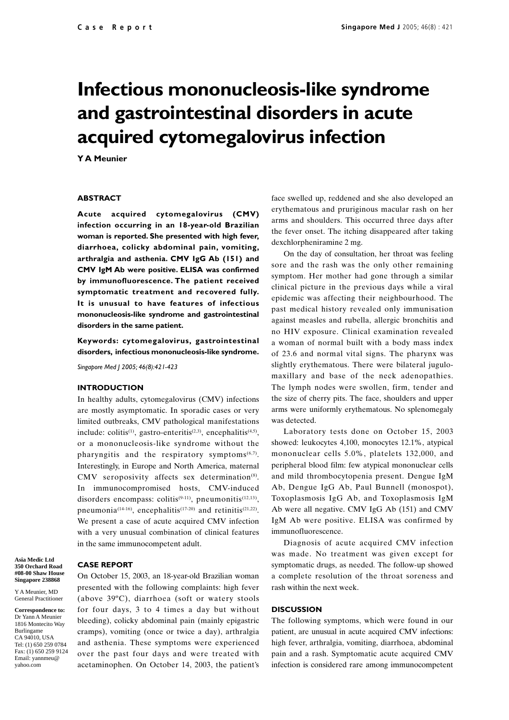# **Infectious mononucleosis-like syndrome and gastrointestinal disorders in acute acquired cytomegalovirus infection**

**Y A Meunier**

### **ABSTRACT**

**Acute acquired cytomegalovirus (CMV) infection occurring in an 18-year-old Brazilian woman is reported. She presented with high fever, diarrhoea, colicky abdominal pain, vomiting, arthralgia and asthenia. CMV IgG Ab (151) and CMV IgM Ab were positive. ELISA was confirmed by immunofluorescence. The patient received symptomatic treatment and recovered fully. It is unusual to have features of infectious mononucleosis-like syndrome and gastrointestinal disorders in the same patient.**

**Keywords: cytomegalovirus, gastrointestinal disorders, infectious mononucleosis-like syndrome.**

*Singapore Med J 2005; 46(8):421-423*

## **INTRODUCTION**

In healthy adults, cytomegalovirus (CMV) infections are mostly asymptomatic. In sporadic cases or very limited outbreaks, CMV pathological manifestations include: colitis<sup>(1)</sup>, gastro-enteritis<sup>(2,3)</sup>, encephalitis<sup>(4,5)</sup>, or a mononucleosis-like syndrome without the pharyngitis and the respiratory symptoms $(6,7)$ . Interestingly, in Europe and North America, maternal CMV seroposivity affects sex determination $(8)$ . In immunocompromised hosts, CMV-induced disorders encompass: colitis<sup>(9-11)</sup>, pneumonitis<sup>(12,13)</sup>, pneumonia<sup>(14-16)</sup>, encephalitis<sup>(17-20)</sup> and retinitis<sup>(21,22)</sup>. We present a case of acute acquired CMV infection with a very unusual combination of clinical features in the same immunocompetent adult.

**Asia Medic Ltd 350 Orchard Road #08-00 Shaw House Singapore 238868**

Y A Meunier, MD General Practitioner

**Correspondence to:** Dr Yann A Meunier 1816 Montecito Way Burlingame CA 94010, USA Tel: (1) 650 259 0784 Fax: (1) 650 259 9124 Email: yannmeu@ yahoo.com

# **CASE REPORT**

On October 15, 2003, an 18-year-old Brazilian woman presented with the following complaints: high fever (above 39ºC), diarrhoea (soft or watery stools for four days, 3 to 4 times a day but without bleeding), colicky abdominal pain (mainly epigastric cramps), vomiting (once or twice a day), arthralgia and asthenia. These symptoms were experienced over the past four days and were treated with acetaminophen. On October 14, 2003, the patient's

face swelled up, reddened and she also developed an erythematous and pruriginous macular rash on her arms and shoulders. This occurred three days after the fever onset. The itching disappeared after taking dexchlorpheniramine 2 mg.

On the day of consultation, her throat was feeling sore and the rash was the only other remaining symptom. Her mother had gone through a similar clinical picture in the previous days while a viral epidemic was affecting their neighbourhood. The past medical history revealed only immunisation against measles and rubella, allergic bronchitis and no HIV exposure. Clinical examination revealed a woman of normal built with a body mass index of 23.6 and normal vital signs. The pharynx was slightly erythematous. There were bilateral jugulomaxillary and base of the neck adenopathies. The lymph nodes were swollen, firm, tender and the size of cherry pits. The face, shoulders and upper arms were uniformly erythematous. No splenomegaly was detected.

Laboratory tests done on October 15, 2003 showed: leukocytes 4,100, monocytes 12.1%, atypical mononuclear cells 5.0%, platelets 132,000, and peripheral blood film: few atypical mononuclear cells and mild thrombocytopenia present. Dengue IgM Ab, Dengue IgG Ab, Paul Bunnell (monospot), Toxoplasmosis IgG Ab, and Toxoplasmosis IgM Ab were all negative. CMV IgG Ab (151) and CMV IgM Ab were positive. ELISA was confirmed by immunofluorescence.

Diagnosis of acute acquired CMV infection was made. No treatment was given except for symptomatic drugs, as needed. The follow-up showed a complete resolution of the throat soreness and rash within the next week.

## **DISCUSSION**

The following symptoms, which were found in our patient, are unusual in acute acquired CMV infections: high fever, arthralgia, vomiting, diarrhoea, abdominal pain and a rash. Symptomatic acute acquired CMV infection is considered rare among immunocompetent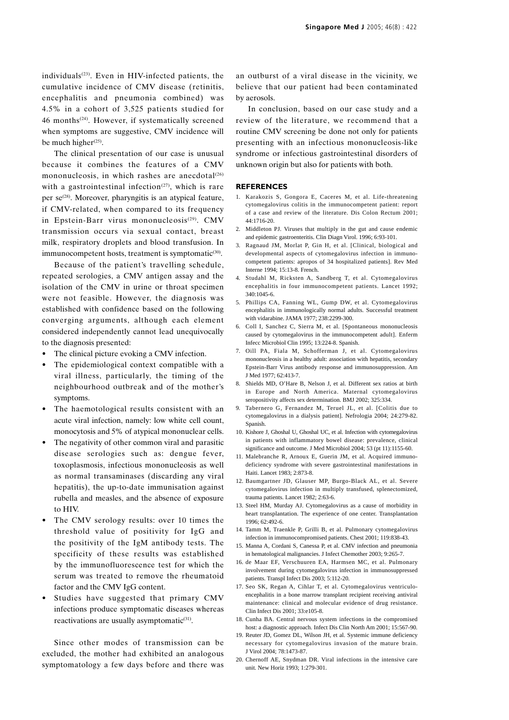individuals $(23)$ . Even in HIV-infected patients, the cumulative incidence of CMV disease (retinitis, encephalitis and pneumonia combined) was 4.5% in a cohort of 3,525 patients studied for 46 months(24). However, if systematically screened when symptoms are suggestive, CMV incidence will be much higher $(25)$ .

The clinical presentation of our case is unusual because it combines the features of a CMV mononucleosis, in which rashes are anecdotal $(26)$ with a gastrointestinal infection<sup> $(27)$ </sup>, which is rare per  $se^{(28)}$ . Moreover, pharyngitis is an atypical feature, if CMV-related, when compared to its frequency in Epstein-Barr virus mononucleosis<sup>(29)</sup>. CMV transmission occurs via sexual contact, breast milk, respiratory droplets and blood transfusion. In immunocompetent hosts, treatment is symptomatic<sup>(30)</sup>.

Because of the patient's travelling schedule, repeated serologies, a CMV antigen assay and the isolation of the CMV in urine or throat specimen were not feasible. However, the diagnosis was established with confidence based on the following converging arguments, although each element considered independently cannot lead unequivocally to the diagnosis presented:

- The clinical picture evoking a CMV infection.
- The epidemiological context compatible with a viral illness, particularly, the timing of the neighbourhood outbreak and of the mother's symptoms.
- The haemotological results consistent with an acute viral infection, namely: low white cell count, monocytosis and 5% of atypical mononuclear cells.
- The negativity of other common viral and parasitic disease serologies such as: dengue fever, toxoplasmosis, infectious mononucleosis as well as normal transaminases (discarding any viral hepatitis), the up-to-date immunisation against rubella and measles, and the absence of exposure to HIV.
- The CMV serology results: over 10 times the threshold value of positivity for IgG and the positivity of the IgM antibody tests. The specificity of these results was established by the immunofluorescence test for which the serum was treated to remove the rheumatoid factor and the CMV IgG content.
- Studies have suggested that primary CMV infections produce symptomatic diseases whereas reactivations are usually asymptomatic $(31)$ .

Since other modes of transmission can be excluded, the mother had exhibited an analogous symptomatology a few days before and there was an outburst of a viral disease in the vicinity, we believe that our patient had been contaminated by aerosols.

In conclusion, based on our case study and a review of the literature, we recommend that a routine CMV screening be done not only for patients presenting with an infectious mononucleosis-like syndrome or infectious gastrointestinal disorders of unknown origin but also for patients with both.

#### **REFERENCES**

- 1. Karakozis S, Gongora E, Caceres M, et al. Life-threatening cytomegalovirus colitis in the immunocompetent patient: report of a case and review of the literature. Dis Colon Rectum 2001; 44:1716-20.
- 2. Middleton PJ. Viruses that multiply in the gut and cause endemic and epidemic gastroenteritis. Clin Diagn Virol. 1996; 6:93-101.
- 3. Ragnaud JM, Morlat P, Gin H, et al. [Clinical, biological and developmental aspects of cytomegalovirus infection in immunocompetent patients: apropos of 34 hospitalized patients]. Rev Med Interne 1994; 15:13-8. French.
- 4. Studahl M, Ricksten A, Sandberg T, et al. Cytomegalovirus encephalitis in four immunocompetent patients. Lancet 1992; 340:1045-6.
- 5. Phillips CA, Fanning WL, Gump DW, et al. Cytomegalovirus encephalitis in immunologically normal adults. Successful treatment with vidarabine. JAMA 1977; 238:2299-300.
- 6. Coll I, Sanchez C, Sierra M, et al. [Spontaneous mononucleosis caused by cytomegalovirus in the immunocompetent adult]. Enferm Infecc Microbiol Clin 1995; 13:224-8. Spanish.
- 7. Oill PA, Fiala M, Schofferman J, et al. Cytomegalovirus mononucleosis in a healthy adult: association with hepatitis, secondary Epstein-Barr Virus antibody response and immunosuppression. Am J Med 1977; 62:413-7.
- 8. Shields MD, O'Hare B, Nelson J, et al. Different sex ratios at birth in Europe and North America. Maternal cytomegalovirus seropositivity affects sex determination. BMJ 2002; 325:334.
- 9. Tabernero G, Fernandez M, Teruel JL, et al. [Colitis due to cytomegalovirus in a dialysis patient]. Nefrologia 2004; 24:279-82. Spanish.
- 10. Kishore J, Ghoshal U, Ghoshal UC, et al. Infection with cytomegalovirus in patients with inflammatory bowel disease: prevalence, clinical significance and outcome. J Med Microbiol 2004; 53 (pt 11):1155-60.
- 11. Malebranche R, Arnoux E, Guerin JM, et al. Acquired immunodeficiency syndrome with severe gastrointestinal manifestations in Haiti. Lancet 1983; 2:873-8.
- 12. Baumgartner JD, Glauser MP, Burgo-Black AL, et al. Severe cytomegalovirus infection in multiply transfused, splenectomized, trauma patients. Lancet 1982; 2:63-6.
- 13. Steel HM, Murday AJ. Cytomegalovirus as a cause of morbidity in heart transplantation. The experience of one center. Transplantation  $1996: 62.492-6$
- 14. Tamm M, Traenkle P, Grilli B, et al. Pulmonary cytomegalovirus infection in immunocompromised patients. Chest 2001; 119:838-43.
- 15. Manna A, Cordani S, Canessa P, et al. CMV infection and pneumonia in hematological malignancies. J Infect Chemother 2003; 9:265-7.
- 16. de Maar EF, Verschuuren EA, Harmsen MC, et al. Pulmonary involvement during cytomegalovirus infection in immunosuppressed patients. Transpl Infect Dis 2003; 5:112-20.
- 17. Seo SK, Regan A, Cihlar T, et al. Cytomegalovirus ventriculoencephalitis in a bone marrow transplant recipient receiving antiviral maintenance: clinical and molecular evidence of drug resistance. Clin Infect Dis 2001; 33:e105-8.
- 18. Cunha BA. Central nervous system infections in the compromised host: a diagnostic approach. Infect Dis Clin North Am 2001; 15:567-90.
- 19. Reuter JD, Gomez DL, Wilson JH, et al. Systemic immune deficiency necessary for cytomegalovirus invasion of the mature brain. J Virol 2004; 78:1473-87.
- 20. Chernoff AE, Snydman DR. Viral infections in the intensive care unit. New Horiz 1993; 1:279-301.